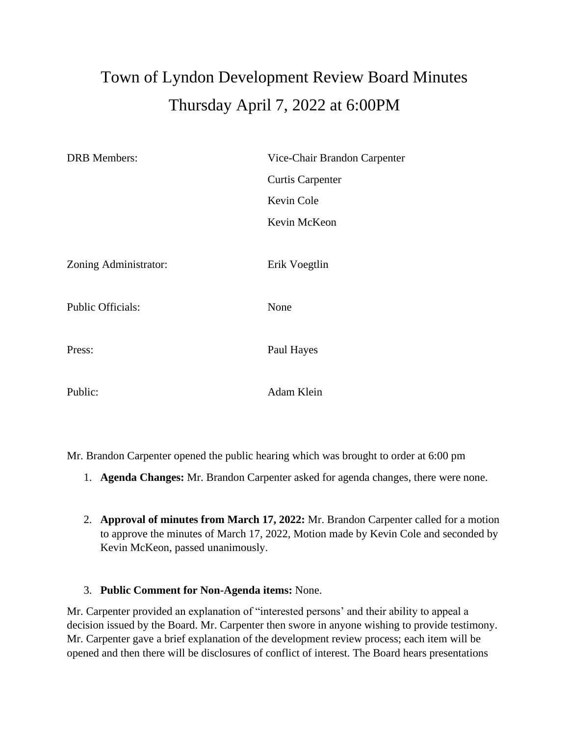## Town of Lyndon Development Review Board Minutes Thursday April 7, 2022 at 6:00PM

| <b>DRB</b> Members:      | Vice-Chair Brandon Carpenter |
|--------------------------|------------------------------|
|                          | <b>Curtis Carpenter</b>      |
|                          | Kevin Cole                   |
|                          | Kevin McKeon                 |
|                          |                              |
| Zoning Administrator:    | Erik Voegtlin                |
|                          |                              |
| <b>Public Officials:</b> | None                         |
|                          |                              |
| Press:                   | Paul Hayes                   |
|                          |                              |
| Public:                  | Adam Klein                   |

Mr. Brandon Carpenter opened the public hearing which was brought to order at 6:00 pm

- 1. **Agenda Changes:** Mr. Brandon Carpenter asked for agenda changes, there were none.
- 2. **Approval of minutes from March 17, 2022:** Mr. Brandon Carpenter called for a motion to approve the minutes of March 17, 2022, Motion made by Kevin Cole and seconded by Kevin McKeon, passed unanimously.

## 3. **Public Comment for Non-Agenda items:** None.

Mr. Carpenter provided an explanation of "interested persons' and their ability to appeal a decision issued by the Board. Mr. Carpenter then swore in anyone wishing to provide testimony. Mr. Carpenter gave a brief explanation of the development review process; each item will be opened and then there will be disclosures of conflict of interest. The Board hears presentations